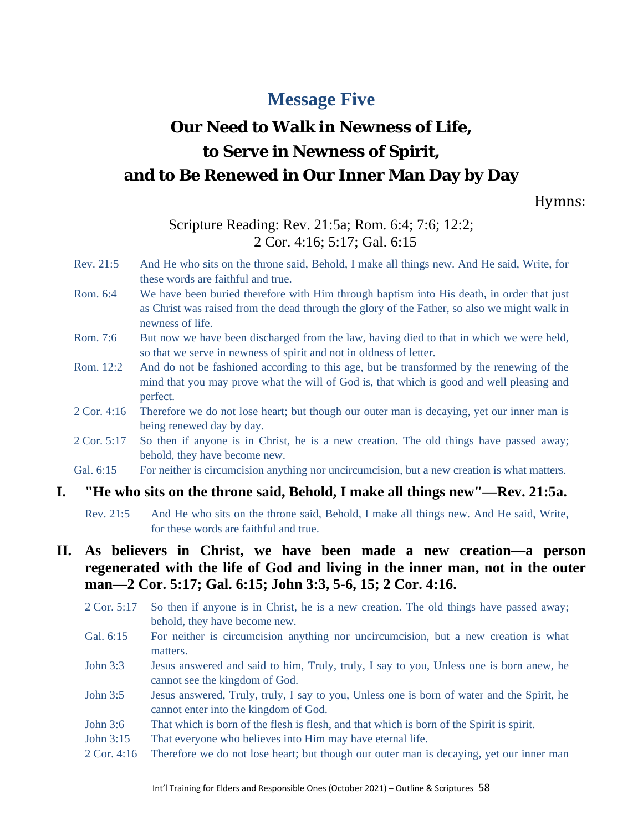## **Message Five**

# **Our Need to Walk in Newness of Life, to Serve in Newness of Spirit, and to Be Renewed in Our Inner Man Day by Day**

Hymns:

## Scripture Reading: Rev. 21:5a; Rom. 6:4; 7:6; 12:2; 2 Cor. 4:16; 5:17; Gal. 6:15

- Rev. 21:5 And He who sits on the throne said, Behold, I make all things new. And He said, Write, for these words are faithful and true.
- Rom. 6:4 We have been buried therefore with Him through baptism into His death, in order that just as Christ was raised from the dead through the glory of the Father, so also we might walk in newness of life.
- Rom. 7:6 But now we have been discharged from the law, having died to that in which we were held, so that we serve in newness of spirit and not in oldness of letter.
- Rom. 12:2 And do not be fashioned according to this age, but be transformed by the renewing of the mind that you may prove what the will of God is, that which is good and well pleasing and perfect.
- 2 Cor. 4:16 Therefore we do not lose heart; but though our outer man is decaying, yet our inner man is being renewed day by day.
- 2 Cor. 5:17 So then if anyone is in Christ, he is a new creation. The old things have passed away; behold, they have become new.
- Gal. 6:15 For neither is circumcision anything nor uncircumcision, but a new creation is what matters.

#### **I. "He who sits on the throne said, Behold, I make all things new"—Rev. 21:5a.**

Rev. 21:5 And He who sits on the throne said, Behold, I make all things new. And He said, Write, for these words are faithful and true.

## **II. As believers in Christ, we have been made a new creation—a person regenerated with the life of God and living in the inner man, not in the outer man—2 Cor. 5:17; Gal. 6:15; John 3:3, 5-6, 15; 2 Cor. 4:16.**

- 2 Cor. 5:17 So then if anyone is in Christ, he is a new creation. The old things have passed away; behold, they have become new.
- Gal. 6:15 For neither is circumcision anything nor uncircumcision, but a new creation is what matters.
- John 3:3 Jesus answered and said to him, Truly, truly, I say to you, Unless one is born anew, he cannot see the kingdom of God.
- John 3:5 Jesus answered, Truly, truly, I say to you, Unless one is born of water and the Spirit, he cannot enter into the kingdom of God.
- John 3:6 That which is born of the flesh is flesh, and that which is born of the Spirit is spirit.
- John 3:15 That everyone who believes into Him may have eternal life.
- 2 Cor. 4:16 Therefore we do not lose heart; but though our outer man is decaying, yet our inner man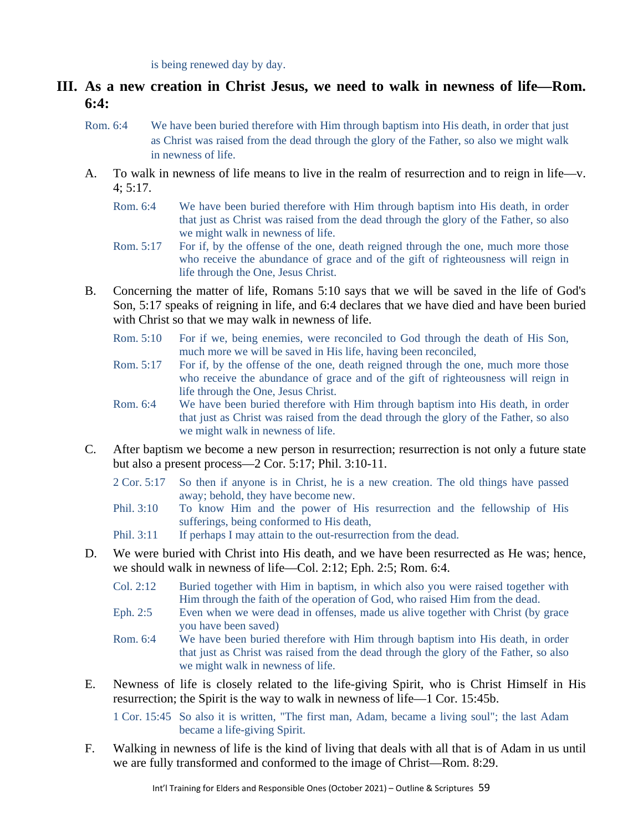is being renewed day by day.

- **III. As a new creation in Christ Jesus, we need to walk in newness of life—Rom. 6:4:**
	- Rom. 6:4 We have been buried therefore with Him through baptism into His death, in order that just as Christ was raised from the dead through the glory of the Father, so also we might walk in newness of life.
	- A. To walk in newness of life means to live in the realm of resurrection and to reign in life—v.  $4:5:17$ .
		- Rom. 6:4 We have been buried therefore with Him through baptism into His death, in order that just as Christ was raised from the dead through the glory of the Father, so also we might walk in newness of life.
		- Rom. 5:17 For if, by the offense of the one, death reigned through the one, much more those who receive the abundance of grace and of the gift of righteousness will reign in life through the One, Jesus Christ.
	- B. Concerning the matter of life, Romans 5:10 says that we will be saved in the life of God's Son, 5:17 speaks of reigning in life, and 6:4 declares that we have died and have been buried with Christ so that we may walk in newness of life.
		- Rom. 5:10 For if we, being enemies, were reconciled to God through the death of His Son, much more we will be saved in His life, having been reconciled,
		- Rom. 5:17 For if, by the offense of the one, death reigned through the one, much more those who receive the abundance of grace and of the gift of righteousness will reign in life through the One, Jesus Christ.
		- Rom. 6:4 We have been buried therefore with Him through baptism into His death, in order that just as Christ was raised from the dead through the glory of the Father, so also we might walk in newness of life.
	- C. After baptism we become a new person in resurrection; resurrection is not only a future state but also a present process—2 Cor. 5:17; Phil. 3:10-11.
		- 2 Cor. 5:17 So then if anyone is in Christ, he is a new creation. The old things have passed away; behold, they have become new.
		- Phil. 3:10 To know Him and the power of His resurrection and the fellowship of His sufferings, being conformed to His death,
		- Phil. 3:11 If perhaps I may attain to the out-resurrection from the dead.
	- D. We were buried with Christ into His death, and we have been resurrected as He was; hence, we should walk in newness of life—Col. 2:12; Eph. 2:5; Rom. 6:4.
		- Col. 2:12 Buried together with Him in baptism, in which also you were raised together with Him through the faith of the operation of God, who raised Him from the dead.
		- Eph. 2:5 Even when we were dead in offenses, made us alive together with Christ (by grace you have been saved)
		- Rom. 6:4 We have been buried therefore with Him through baptism into His death, in order that just as Christ was raised from the dead through the glory of the Father, so also we might walk in newness of life.
	- E. Newness of life is closely related to the life-giving Spirit, who is Christ Himself in His resurrection; the Spirit is the way to walk in newness of life—1 Cor. 15:45b.

1 Cor. 15:45 So also it is written, "The first man, Adam, became a living soul"; the last Adam became a life-giving Spirit.

F. Walking in newness of life is the kind of living that deals with all that is of Adam in us until we are fully transformed and conformed to the image of Christ—Rom. 8:29.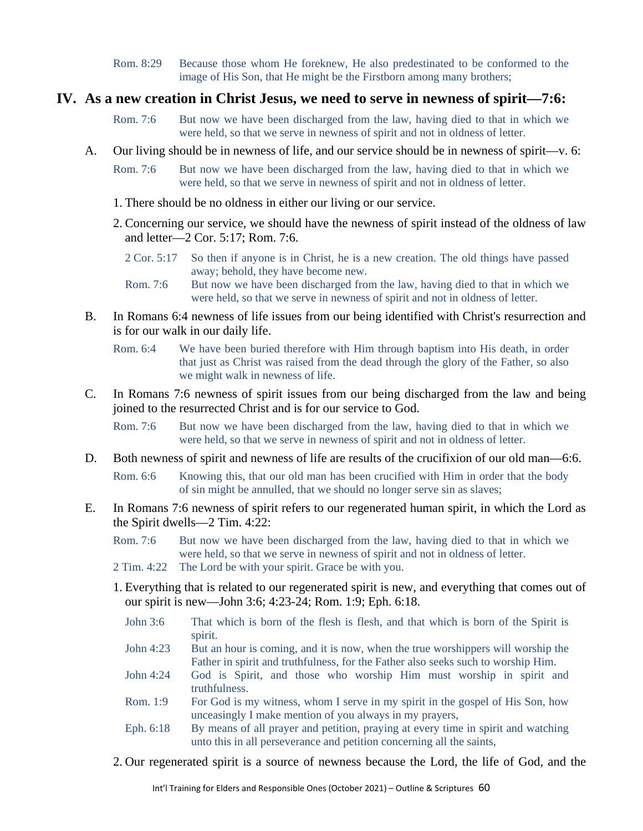Rom. 8:29 Because those whom He foreknew, He also predestinated to be conformed to the image of His Son, that He might be the Firstborn among many brothers;

#### **IV. As a new creation in Christ Jesus, we need to serve in newness of spirit—7:6:**

- Rom. 7:6 But now we have been discharged from the law, having died to that in which we were held, so that we serve in newness of spirit and not in oldness of letter.
- A. Our living should be in newness of life, and our service should be in newness of spirit—v. 6:
	- Rom. 7:6 But now we have been discharged from the law, having died to that in which we were held, so that we serve in newness of spirit and not in oldness of letter.
	- 1. There should be no oldness in either our living or our service.
	- 2. Concerning our service, we should have the newness of spirit instead of the oldness of law and letter—2 Cor. 5:17; Rom. 7:6.
		- 2 Cor. 5:17 So then if anyone is in Christ, he is a new creation. The old things have passed away; behold, they have become new.
		- Rom. 7:6 But now we have been discharged from the law, having died to that in which we were held, so that we serve in newness of spirit and not in oldness of letter.
- B. In Romans 6:4 newness of life issues from our being identified with Christ's resurrection and is for our walk in our daily life.

Rom. 6:4 We have been buried therefore with Him through baptism into His death, in order that just as Christ was raised from the dead through the glory of the Father, so also we might walk in newness of life.

C. In Romans 7:6 newness of spirit issues from our being discharged from the law and being joined to the resurrected Christ and is for our service to God.

Rom. 7:6 But now we have been discharged from the law, having died to that in which we were held, so that we serve in newness of spirit and not in oldness of letter.

D. Both newness of spirit and newness of life are results of the crucifixion of our old man—6:6.

Rom. 6:6 Knowing this, that our old man has been crucified with Him in order that the body of sin might be annulled, that we should no longer serve sin as slaves;

- E. In Romans 7:6 newness of spirit refers to our regenerated human spirit, in which the Lord as the Spirit dwells—2 Tim. 4:22:
	- Rom. 7:6 But now we have been discharged from the law, having died to that in which we were held, so that we serve in newness of spirit and not in oldness of letter.
	- 2 Tim. 4:22 The Lord be with your spirit. Grace be with you.
	- 1. Everything that is related to our regenerated spirit is new, and everything that comes out of our spirit is new—John 3:6; 4:23-24; Rom. 1:9; Eph. 6:18.
		- John 3:6 That which is born of the flesh is flesh, and that which is born of the Spirit is spirit.
		- John 4:23 But an hour is coming, and it is now, when the true worshippers will worship the Father in spirit and truthfulness, for the Father also seeks such to worship Him.
		- John 4:24 God is Spirit, and those who worship Him must worship in spirit and truthfulness.
		- Rom. 1:9 For God is my witness, whom I serve in my spirit in the gospel of His Son, how unceasingly I make mention of you always in my prayers,
		- Eph. 6:18 By means of all prayer and petition, praying at every time in spirit and watching unto this in all perseverance and petition concerning all the saints,
	- 2. Our regenerated spirit is a source of newness because the Lord, the life of God, and the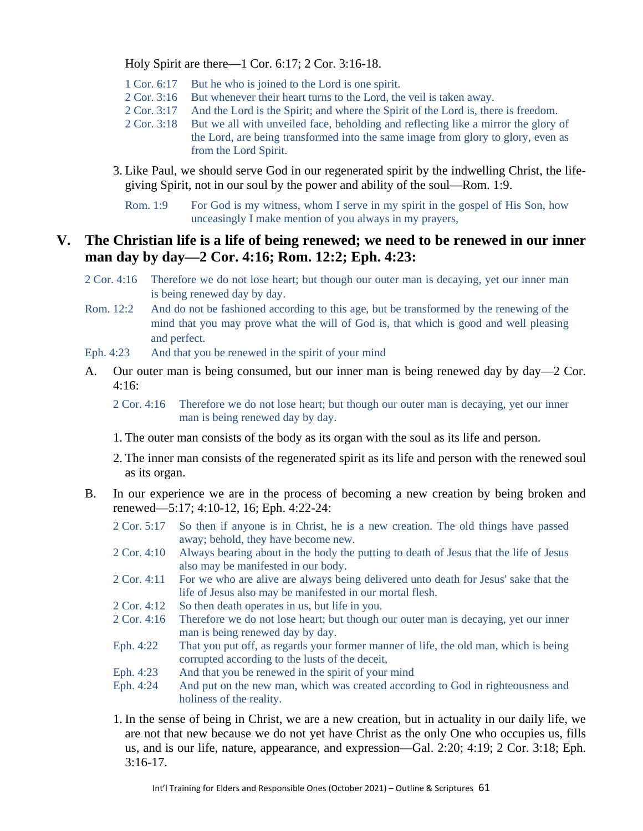Holy Spirit are there—1 Cor. 6:17; 2 Cor. 3:16-18.

- 1 Cor. 6:17 But he who is joined to the Lord is one spirit.
- 2 Cor. 3:16 But whenever their heart turns to the Lord, the veil is taken away.
- 2 Cor. 3:17 And the Lord is the Spirit; and where the Spirit of the Lord is, there is freedom.
- 2 Cor. 3:18 But we all with unveiled face, beholding and reflecting like a mirror the glory of the Lord, are being transformed into the same image from glory to glory, even as from the Lord Spirit.
- 3. Like Paul, we should serve God in our regenerated spirit by the indwelling Christ, the lifegiving Spirit, not in our soul by the power and ability of the soul—Rom. 1:9.
	- Rom. 1:9 For God is my witness, whom I serve in my spirit in the gospel of His Son, how unceasingly I make mention of you always in my prayers,

## **V. The Christian life is a life of being renewed; we need to be renewed in our inner man day by day—2 Cor. 4:16; Rom. 12:2; Eph. 4:23:**

- 2 Cor. 4:16 Therefore we do not lose heart; but though our outer man is decaying, yet our inner man is being renewed day by day.
- Rom. 12:2 And do not be fashioned according to this age, but be transformed by the renewing of the mind that you may prove what the will of God is, that which is good and well pleasing and perfect.
- Eph. 4:23 And that you be renewed in the spirit of your mind
- A. Our outer man is being consumed, but our inner man is being renewed day by day—2 Cor. 4:16:
	- 2 Cor. 4:16 Therefore we do not lose heart; but though our outer man is decaying, yet our inner man is being renewed day by day.
	- 1. The outer man consists of the body as its organ with the soul as its life and person.
	- 2. The inner man consists of the regenerated spirit as its life and person with the renewed soul as its organ.
- B. In our experience we are in the process of becoming a new creation by being broken and renewed—5:17; 4:10-12, 16; Eph. 4:22-24:
	- 2 Cor. 5:17 So then if anyone is in Christ, he is a new creation. The old things have passed away; behold, they have become new.
	- 2 Cor. 4:10 Always bearing about in the body the putting to death of Jesus that the life of Jesus also may be manifested in our body.
	- 2 Cor. 4:11 For we who are alive are always being delivered unto death for Jesus' sake that the life of Jesus also may be manifested in our mortal flesh.
	- 2 Cor. 4:12 So then death operates in us, but life in you.
	- 2 Cor. 4:16 Therefore we do not lose heart; but though our outer man is decaying, yet our inner man is being renewed day by day.
	- Eph. 4:22 That you put off, as regards your former manner of life, the old man, which is being corrupted according to the lusts of the deceit,
	- Eph. 4:23 And that you be renewed in the spirit of your mind
	- Eph. 4:24 And put on the new man, which was created according to God in righteousness and holiness of the reality.
	- 1. In the sense of being in Christ, we are a new creation, but in actuality in our daily life, we are not that new because we do not yet have Christ as the only One who occupies us, fills us, and is our life, nature, appearance, and expression—Gal. 2:20; 4:19; 2 Cor. 3:18; Eph. 3:16-17.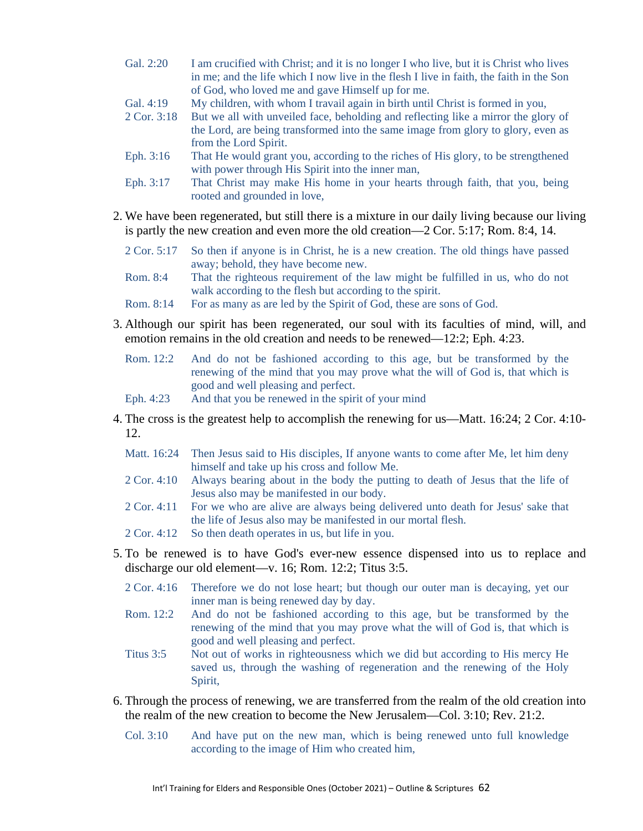- Gal. 2:20 I am crucified with Christ; and it is no longer I who live, but it is Christ who lives in me; and the life which I now live in the flesh I live in faith, the faith in the Son of God, who loved me and gave Himself up for me.
- Gal. 4:19 My children, with whom I travail again in birth until Christ is formed in you,
- 2 Cor. 3:18 But we all with unveiled face, beholding and reflecting like a mirror the glory of the Lord, are being transformed into the same image from glory to glory, even as from the Lord Spirit.
- Eph. 3:16 That He would grant you, according to the riches of His glory, to be strengthened with power through His Spirit into the inner man,
- Eph. 3:17 That Christ may make His home in your hearts through faith, that you, being rooted and grounded in love,
- 2. We have been regenerated, but still there is a mixture in our daily living because our living is partly the new creation and even more the old creation—2 Cor. 5:17; Rom. 8:4, 14.
	- 2 Cor. 5:17 So then if anyone is in Christ, he is a new creation. The old things have passed away; behold, they have become new.
	- Rom. 8:4 That the righteous requirement of the law might be fulfilled in us, who do not walk according to the flesh but according to the spirit.
	- Rom. 8:14 For as many as are led by the Spirit of God, these are sons of God.
- 3. Although our spirit has been regenerated, our soul with its faculties of mind, will, and emotion remains in the old creation and needs to be renewed—12:2; Eph. 4:23.
	- Rom. 12:2 And do not be fashioned according to this age, but be transformed by the renewing of the mind that you may prove what the will of God is, that which is good and well pleasing and perfect.
	- Eph. 4:23 And that you be renewed in the spirit of your mind
- 4. The cross is the greatest help to accomplish the renewing for us—Matt. 16:24; 2 Cor. 4:10- 12.
	- Matt. 16:24 Then Jesus said to His disciples, If anyone wants to come after Me, let him deny himself and take up his cross and follow Me.
	- 2 Cor. 4:10 Always bearing about in the body the putting to death of Jesus that the life of Jesus also may be manifested in our body.
	- 2 Cor. 4:11 For we who are alive are always being delivered unto death for Jesus' sake that the life of Jesus also may be manifested in our mortal flesh.
	- 2 Cor. 4:12 So then death operates in us, but life in you.
- 5. To be renewed is to have God's ever-new essence dispensed into us to replace and discharge our old element—v. 16; Rom. 12:2; Titus 3:5.
	- 2 Cor. 4:16 Therefore we do not lose heart; but though our outer man is decaying, yet our inner man is being renewed day by day.
	- Rom. 12:2 And do not be fashioned according to this age, but be transformed by the renewing of the mind that you may prove what the will of God is, that which is good and well pleasing and perfect.
	- Titus 3:5 Not out of works in righteousness which we did but according to His mercy He saved us, through the washing of regeneration and the renewing of the Holy Spirit,
- 6. Through the process of renewing, we are transferred from the realm of the old creation into the realm of the new creation to become the New Jerusalem—Col. 3:10; Rev. 21:2.
	- Col. 3:10 And have put on the new man, which is being renewed unto full knowledge according to the image of Him who created him,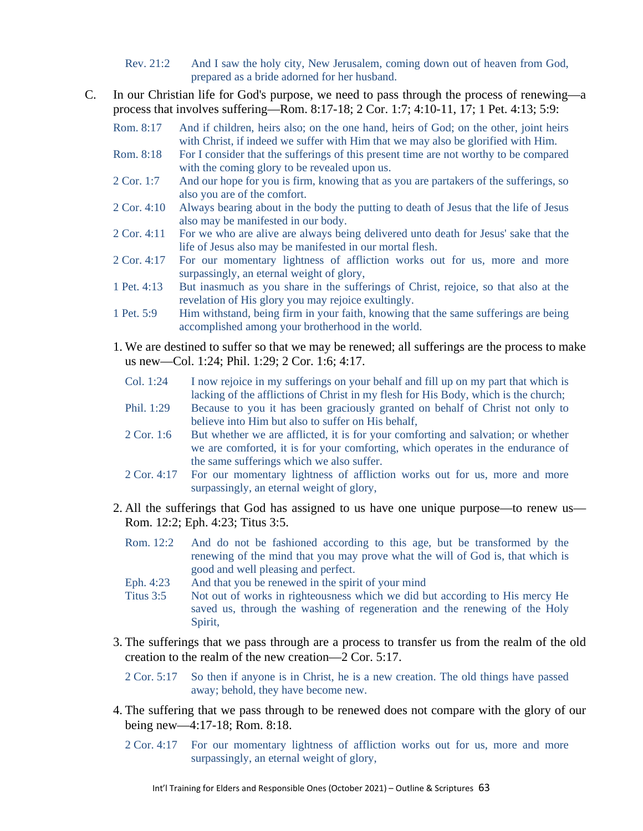- Rev. 21:2 And I saw the holy city, New Jerusalem, coming down out of heaven from God, prepared as a bride adorned for her husband.
- C. In our Christian life for God's purpose, we need to pass through the process of renewing—a process that involves suffering—Rom. 8:17-18; 2 Cor. 1:7; 4:10-11, 17; 1 Pet. 4:13; 5:9:
	- Rom. 8:17 And if children, heirs also; on the one hand, heirs of God; on the other, joint heirs with Christ, if indeed we suffer with Him that we may also be glorified with Him.
	- Rom. 8:18 For I consider that the sufferings of this present time are not worthy to be compared with the coming glory to be revealed upon us.
	- 2 Cor. 1:7 And our hope for you is firm, knowing that as you are partakers of the sufferings, so also you are of the comfort.
	- 2 Cor. 4:10 Always bearing about in the body the putting to death of Jesus that the life of Jesus also may be manifested in our body.
	- 2 Cor. 4:11 For we who are alive are always being delivered unto death for Jesus' sake that the life of Jesus also may be manifested in our mortal flesh.
	- 2 Cor. 4:17 For our momentary lightness of affliction works out for us, more and more surpassingly, an eternal weight of glory,
	- 1 Pet. 4:13 But inasmuch as you share in the sufferings of Christ, rejoice, so that also at the revelation of His glory you may rejoice exultingly.
	- 1 Pet. 5:9 Him withstand, being firm in your faith, knowing that the same sufferings are being accomplished among your brotherhood in the world.
	- 1. We are destined to suffer so that we may be renewed; all sufferings are the process to make us new—Col. 1:24; Phil. 1:29; 2 Cor. 1:6; 4:17.
		- Col. 1:24 I now rejoice in my sufferings on your behalf and fill up on my part that which is lacking of the afflictions of Christ in my flesh for His Body, which is the church;
		- Phil. 1:29 Because to you it has been graciously granted on behalf of Christ not only to believe into Him but also to suffer on His behalf,
		- 2 Cor. 1:6 But whether we are afflicted, it is for your comforting and salvation; or whether we are comforted, it is for your comforting, which operates in the endurance of the same sufferings which we also suffer.
		- 2 Cor. 4:17 For our momentary lightness of affliction works out for us, more and more surpassingly, an eternal weight of glory,
	- 2. All the sufferings that God has assigned to us have one unique purpose—to renew us— Rom. 12:2; Eph. 4:23; Titus 3:5.
		- Rom. 12:2 And do not be fashioned according to this age, but be transformed by the renewing of the mind that you may prove what the will of God is, that which is good and well pleasing and perfect.
		- Eph. 4:23 And that you be renewed in the spirit of your mind
		- Titus 3:5 Not out of works in righteousness which we did but according to His mercy He saved us, through the washing of regeneration and the renewing of the Holy Spirit,
	- 3. The sufferings that we pass through are a process to transfer us from the realm of the old creation to the realm of the new creation—2 Cor. 5:17.

2 Cor. 5:17 So then if anyone is in Christ, he is a new creation. The old things have passed away; behold, they have become new.

- 4. The suffering that we pass through to be renewed does not compare with the glory of our being new—4:17-18; Rom. 8:18.
	- 2 Cor. 4:17 For our momentary lightness of affliction works out for us, more and more surpassingly, an eternal weight of glory,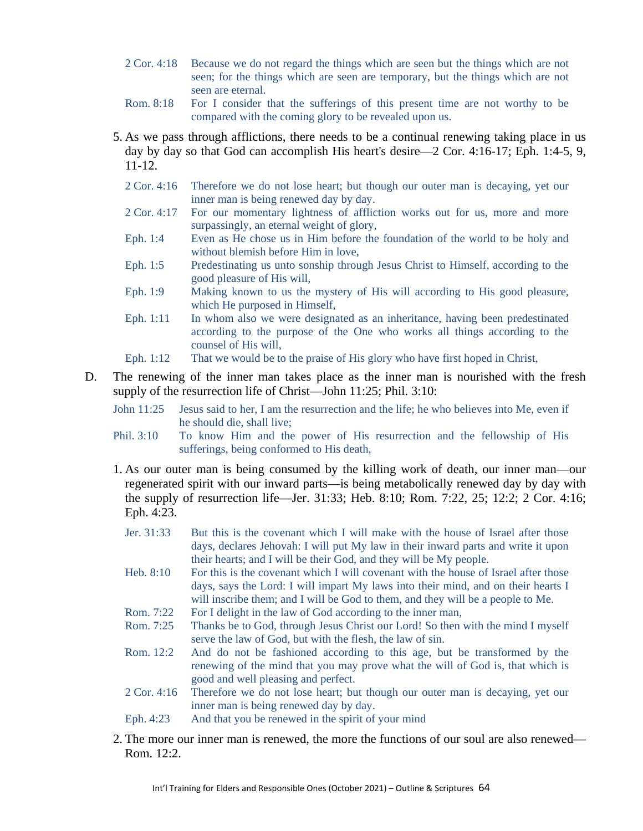- 2 Cor. 4:18 Because we do not regard the things which are seen but the things which are not seen; for the things which are seen are temporary, but the things which are not seen are eternal.
- Rom. 8:18 For I consider that the sufferings of this present time are not worthy to be compared with the coming glory to be revealed upon us.
- 5. As we pass through afflictions, there needs to be a continual renewing taking place in us day by day so that God can accomplish His heart's desire—2 Cor. 4:16-17; Eph. 1:4-5, 9, 11-12.
	- 2 Cor. 4:16 Therefore we do not lose heart; but though our outer man is decaying, yet our inner man is being renewed day by day.
	- 2 Cor. 4:17 For our momentary lightness of affliction works out for us, more and more surpassingly, an eternal weight of glory,
	- Eph. 1:4 Even as He chose us in Him before the foundation of the world to be holy and without blemish before Him in love,
	- Eph. 1:5 Predestinating us unto sonship through Jesus Christ to Himself, according to the good pleasure of His will,
	- Eph. 1:9 Making known to us the mystery of His will according to His good pleasure, which He purposed in Himself,
	- Eph. 1:11 In whom also we were designated as an inheritance, having been predestinated according to the purpose of the One who works all things according to the counsel of His will,
	- Eph. 1:12 That we would be to the praise of His glory who have first hoped in Christ,
- D. The renewing of the inner man takes place as the inner man is nourished with the fresh supply of the resurrection life of Christ—John 11:25; Phil. 3:10:
	- John 11:25 Jesus said to her, I am the resurrection and the life; he who believes into Me, even if he should die, shall live;
	- Phil. 3:10 To know Him and the power of His resurrection and the fellowship of His sufferings, being conformed to His death,
	- 1. As our outer man is being consumed by the killing work of death, our inner man—our regenerated spirit with our inward parts—is being metabolically renewed day by day with the supply of resurrection life—Jer. 31:33; Heb. 8:10; Rom. 7:22, 25; 12:2; 2 Cor. 4:16; Eph. 4:23.
		- Jer. 31:33 But this is the covenant which I will make with the house of Israel after those days, declares Jehovah: I will put My law in their inward parts and write it upon their hearts; and I will be their God, and they will be My people.
		- Heb.  $8:10$  For this is the covenant which I will covenant with the house of Israel after those days, says the Lord: I will impart My laws into their mind, and on their hearts I will inscribe them; and I will be God to them, and they will be a people to Me.
		- Rom. 7:22 For I delight in the law of God according to the inner man,<br>Rom. 7:25 Thanks be to God, through Jesus Christ our Lord! So then
		- Thanks be to God, through Jesus Christ our Lord! So then with the mind I myself serve the law of God, but with the flesh, the law of sin.
		- Rom. 12:2 And do not be fashioned according to this age, but be transformed by the renewing of the mind that you may prove what the will of God is, that which is good and well pleasing and perfect.
		- 2 Cor. 4:16 Therefore we do not lose heart; but though our outer man is decaying, yet our inner man is being renewed day by day.
		- Eph. 4:23 And that you be renewed in the spirit of your mind
	- 2. The more our inner man is renewed, the more the functions of our soul are also renewed— Rom. 12:2.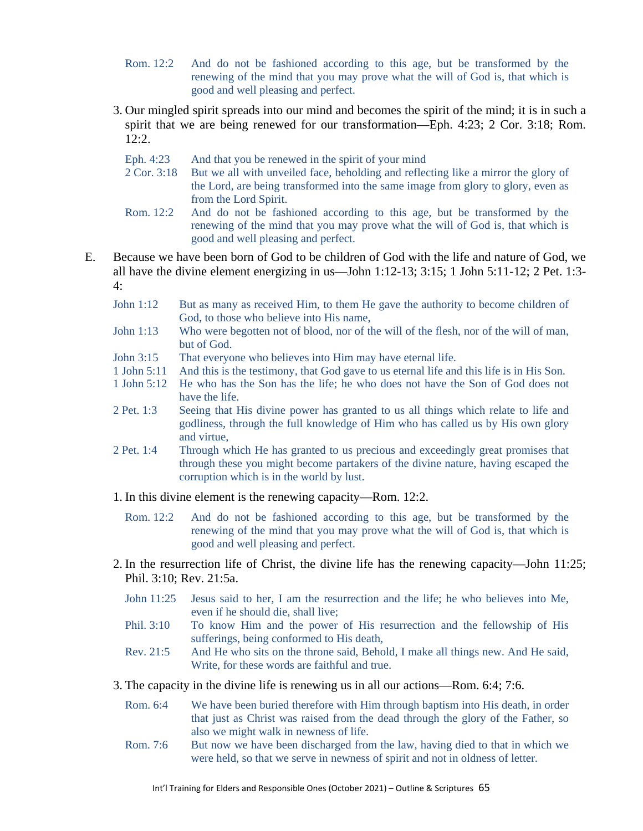- Rom. 12:2 And do not be fashioned according to this age, but be transformed by the renewing of the mind that you may prove what the will of God is, that which is good and well pleasing and perfect.
- 3. Our mingled spirit spreads into our mind and becomes the spirit of the mind; it is in such a spirit that we are being renewed for our transformation—Eph. 4:23; 2 Cor. 3:18; Rom. 12:2.
	- Eph. 4:23 And that you be renewed in the spirit of your mind
	- 2 Cor. 3:18 But we all with unveiled face, beholding and reflecting like a mirror the glory of the Lord, are being transformed into the same image from glory to glory, even as from the Lord Spirit.
	- Rom. 12:2 And do not be fashioned according to this age, but be transformed by the renewing of the mind that you may prove what the will of God is, that which is good and well pleasing and perfect.
- E. Because we have been born of God to be children of God with the life and nature of God, we all have the divine element energizing in us—John 1:12-13; 3:15; 1 John 5:11-12; 2 Pet. 1:3- 4:
	- John 1:12 But as many as received Him, to them He gave the authority to become children of God, to those who believe into His name,
	- John 1:13 Who were begotten not of blood, nor of the will of the flesh, nor of the will of man, but of God.
	- John 3:15 That everyone who believes into Him may have eternal life.
	- 1 John 5:11 And this is the testimony, that God gave to us eternal life and this life is in His Son.
	- 1 John 5:12 He who has the Son has the life; he who does not have the Son of God does not have the life.
	- 2 Pet. 1:3 Seeing that His divine power has granted to us all things which relate to life and godliness, through the full knowledge of Him who has called us by His own glory and virtue,
	- 2 Pet. 1:4 Through which He has granted to us precious and exceedingly great promises that through these you might become partakers of the divine nature, having escaped the corruption which is in the world by lust.
	- 1. In this divine element is the renewing capacity—Rom. 12:2.
		- Rom. 12:2 And do not be fashioned according to this age, but be transformed by the renewing of the mind that you may prove what the will of God is, that which is good and well pleasing and perfect.
	- 2. In the resurrection life of Christ, the divine life has the renewing capacity—John 11:25; Phil. 3:10; Rev. 21:5a.
		- John 11:25 Jesus said to her, I am the resurrection and the life; he who believes into Me, even if he should die, shall live;
		- Phil. 3:10 To know Him and the power of His resurrection and the fellowship of His sufferings, being conformed to His death,
		- Rev. 21:5 And He who sits on the throne said, Behold, I make all things new. And He said, Write, for these words are faithful and true.
	- 3. The capacity in the divine life is renewing us in all our actions—Rom. 6:4; 7:6.
		- Rom. 6:4 We have been buried therefore with Him through baptism into His death, in order that just as Christ was raised from the dead through the glory of the Father, so also we might walk in newness of life.
		- Rom. 7:6 But now we have been discharged from the law, having died to that in which we were held, so that we serve in newness of spirit and not in oldness of letter.